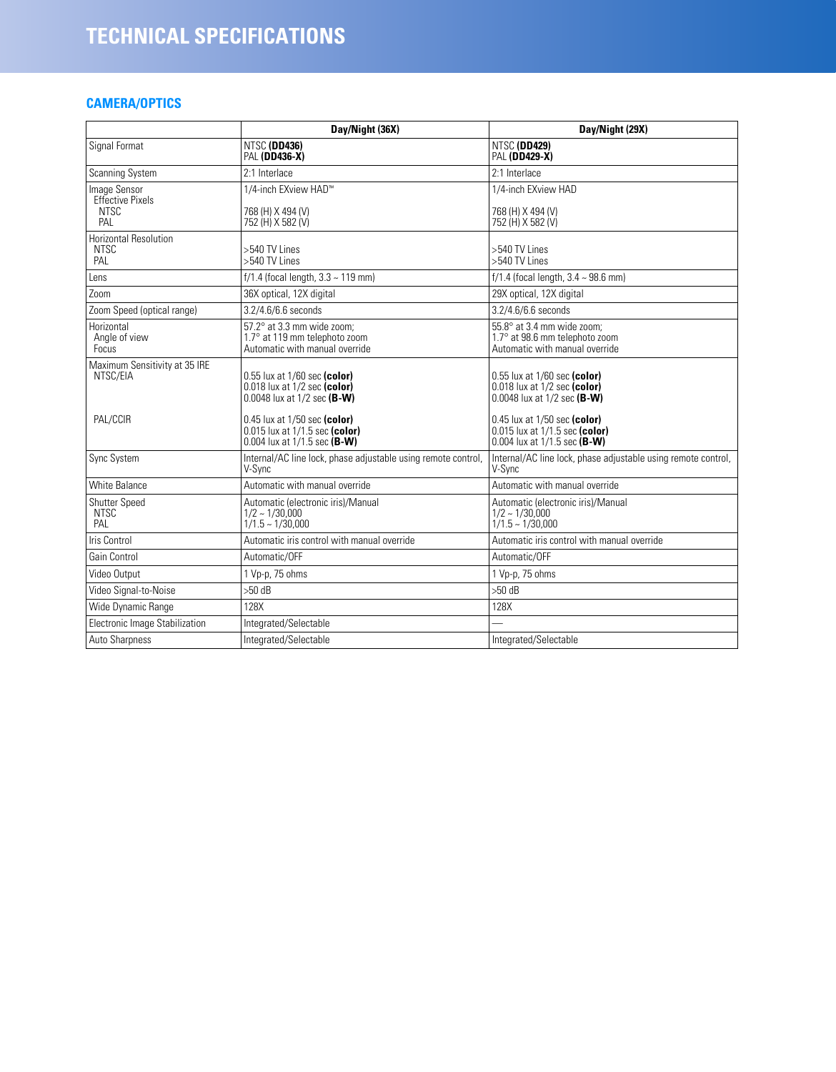# **CAMERA/OPTICS**

|                                                               | Day/Night (36X)                                                                                          | Day/Night (29X)                                                                                  |  |  |
|---------------------------------------------------------------|----------------------------------------------------------------------------------------------------------|--------------------------------------------------------------------------------------------------|--|--|
| Signal Format                                                 | NTSC (DD436)<br><b>PAL (DD436-X)</b>                                                                     | NTSC (DD429)<br><b>PAL (DD429-X)</b>                                                             |  |  |
| <b>Scanning System</b>                                        | 2:1 Interlace                                                                                            | 2:1 Interlace                                                                                    |  |  |
| Image Sensor<br><b>Effective Pixels</b><br><b>NTSC</b><br>PAL | 1/4-inch EXview HAD™<br>768 (H) X 494 (V)<br>752 (H) X 582 (V)                                           | 1/4-inch EXview HAD<br>768 (H) X 494 (V)<br>752 (H) X 582 (V)                                    |  |  |
| <b>Horizontal Resolution</b><br><b>NTSC</b><br>PAL            | >540 TV Lines<br>>540 TV Lines                                                                           | >540 TV Lines<br>>540 TV Lines                                                                   |  |  |
| Lens                                                          | $f/1.4$ (focal length, $3.3 \sim 119$ mm)                                                                | $f/1.4$ (focal length, $3.4 \sim 98.6$ mm)                                                       |  |  |
| Zoom                                                          | 36X optical, 12X digital                                                                                 | 29X optical, 12X digital                                                                         |  |  |
| Zoom Speed (optical range)                                    | 3.2/4.6/6.6 seconds                                                                                      | 3.2/4.6/6.6 seconds                                                                              |  |  |
| Horizontal<br>Angle of view<br><b>Focus</b>                   | $57.2^\circ$ at 3.3 mm wide zoom:<br>1.7° at 119 mm telephoto zoom<br>Automatic with manual override     | 55.8° at 3.4 mm wide zoom:<br>1.7° at 98.6 mm telephoto zoom<br>Automatic with manual override   |  |  |
| Maximum Sensitivity at 35 IRE<br>NTSC/EIA                     | 0.55 lux at 1/60 sec (color)<br>$0.018$ lux at $1/2$ sec (color)<br>0.0048 lux at $1/2$ sec (B-W)        | 0.55 lux at 1/60 sec (color)<br>0.018 lux at 1/2 sec (color)<br>0.0048 lux at $1/2$ sec (B-W)    |  |  |
| PAL/CCIR                                                      | $0.45$ lux at $1/50$ sec (color)<br>$0.015$ lux at $1/1.5$ sec (color)<br>0.004 lux at $1/1.5$ sec (B-W) | 0.45 lux at 1/50 sec (color)<br>0.015 lux at 1/1.5 sec (color)<br>0.004 lux at $1/1.5$ sec (B-W) |  |  |
| Sync System                                                   | Internal/AC line lock, phase adjustable using remote control,<br>V-Sync                                  | Internal/AC line lock, phase adjustable using remote control,<br>V-Sync                          |  |  |
| <b>White Balance</b>                                          | Automatic with manual override                                                                           | Automatic with manual override                                                                   |  |  |
| <b>Shutter Speed</b><br><b>NTSC</b><br>PAL                    | Automatic (electronic iris)/Manual<br>$1/2 \sim 1/30.000$<br>$1/1.5 - 1/30,000$                          | Automatic (electronic iris)/Manual<br>$1/2 \sim 1/30,000$<br>$1/1.5 - 1/30,000$                  |  |  |
| <b>Iris Control</b>                                           | Automatic iris control with manual override                                                              | Automatic iris control with manual override                                                      |  |  |
| Gain Control                                                  | Automatic/OFF                                                                                            | Automatic/OFF                                                                                    |  |  |
| Video Output                                                  | 1 Vp-p, 75 ohms                                                                                          | 1 Vp-p, 75 ohms                                                                                  |  |  |
| Video Signal-to-Noise                                         | $>50$ dB                                                                                                 | $>50$ dB                                                                                         |  |  |
| Wide Dynamic Range                                            | 128X                                                                                                     | 128X                                                                                             |  |  |
| Electronic Image Stabilization                                | Integrated/Selectable                                                                                    |                                                                                                  |  |  |
| Auto Sharpness                                                | Integrated/Selectable                                                                                    | Integrated/Selectable                                                                            |  |  |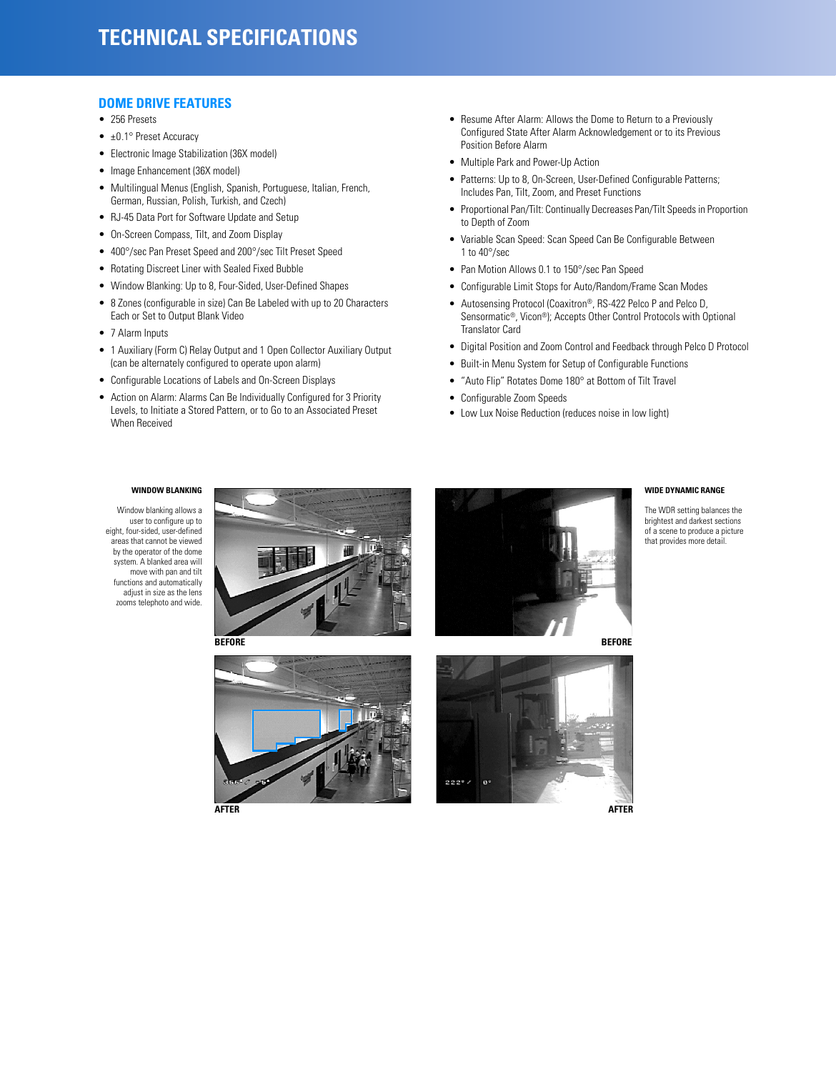## **DOME DRIVE FEATURES**

- 256 Presets
- ±0.1° Preset Accuracy
- Electronic Image Stabilization (36X model)
- Image Enhancement (36X model)
- Multilingual Menus (English, Spanish, Portuguese, Italian, French, German, Russian, Polish, Turkish, and Czech)
- RJ-45 Data Port for Software Update and Setup
- On-Screen Compass, Tilt, and Zoom Display
- 400°/sec Pan Preset Speed and 200°/sec Tilt Preset Speed
- Rotating Discreet Liner with Sealed Fixed Bubble
- Window Blanking: Up to 8, Four-Sided, User-Defined Shapes
- 8 Zones (configurable in size) Can Be Labeled with up to 20 Characters Each or Set to Output Blank Video
- 7 Alarm Inputs
- 1 Auxiliary (Form C) Relay Output and 1 Open Collector Auxiliary Output (can be alternately configured to operate upon alarm)
- Configurable Locations of Labels and On-Screen Displays
- Action on Alarm: Alarms Can Be Individually Configured for 3 Priority Levels, to Initiate a Stored Pattern, or to Go to an Associated Preset When Received
- Resume After Alarm: Allows the Dome to Return to a Previously Configured State After Alarm Acknowledgement or to its Previous Position Before Alarm
- Multiple Park and Power-Up Action
- Patterns: Up to 8, On-Screen, User-Defined Configurable Patterns; Includes Pan, Tilt, Zoom, and Preset Functions
- Proportional Pan/Tilt: Continually Decreases Pan/Tilt Speeds in Proportion to Depth of Zoom
- Variable Scan Speed: Scan Speed Can Be Configurable Between 1 to 40°/sec
- Pan Motion Allows 0.1 to 150°/sec Pan Speed
- Configurable Limit Stops for Auto/Random/Frame Scan Modes
- Autosensing Protocol (Coaxitron®, RS-422 Pelco P and Pelco D, Sensormatic®, Vicon®); Accepts Other Control Protocols with Optional Translator Card
- Digital Position and Zoom Control and Feedback through Pelco D Protocol
- Built-in Menu System for Setup of Configurable Functions
- "Auto Flip" Rotates Dome 180° at Bottom of Tilt Travel
- Configurable Zoom Speeds
- Low Lux Noise Reduction (reduces noise in low light)

#### **WINDOW BLANKING**

Window blanking allows a user to configure up to eight, four-sided, user-defined areas that cannot be viewed by the operator of the dome system. A blanked area will move with pan and tilt functions and automatically adjust in size as the lens zooms telephoto and wide.









 $222°/$ 

 $\mathbf{e}$ 

#### **WIDE DYNAMIC RANGE**

The WDR setting balances the brightest and darkest sections of a scene to produce a picture that provides more detail.

**BEFORE**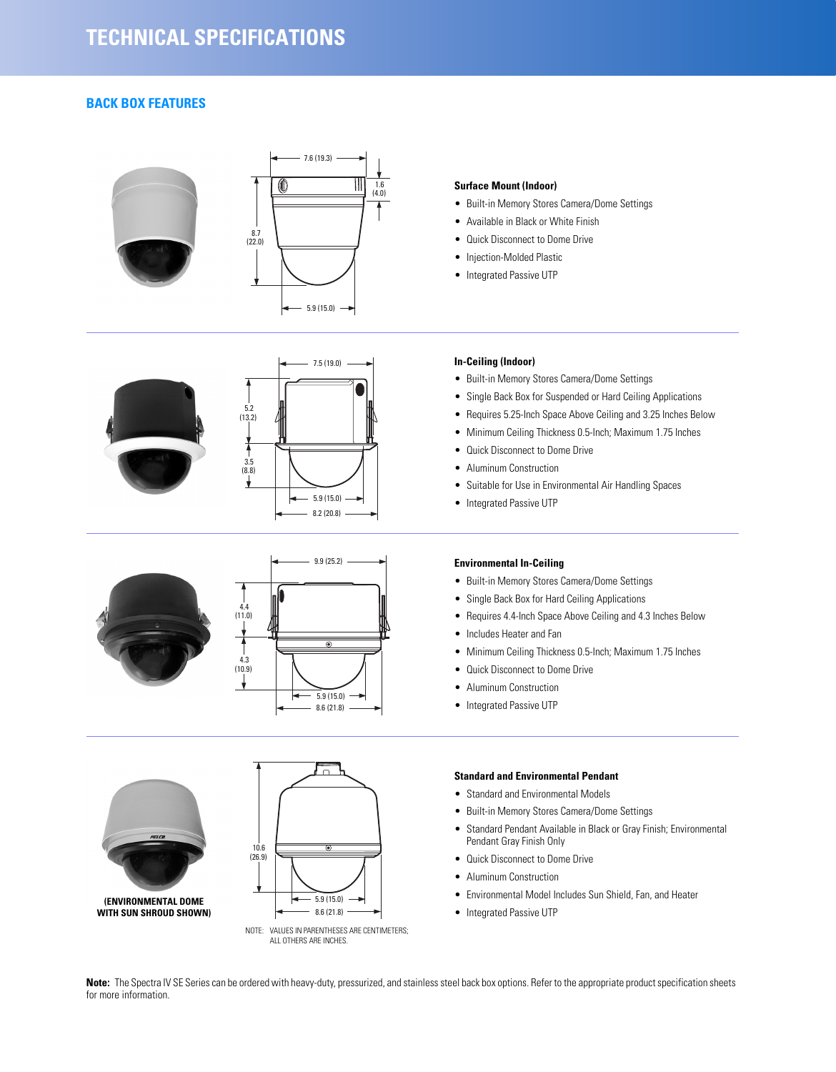# **BACK BOX FEATURES**

















## **Surface Mount (Indoor)**

- Built-in Memory Stores Camera/Dome Settings
- Available in Black or White Finish
- Quick Disconnect to Dome Drive
- Injection-Molded Plastic
- Integrated Passive UTP

#### **In-Ceiling (Indoor)**

- Built-in Memory Stores Camera/Dome Settings
- Single Back Box for Suspended or Hard Ceiling Applications
- Requires 5.25-Inch Space Above Ceiling and 3.25 Inches Below
- Minimum Ceiling Thickness 0.5-Inch; Maximum 1.75 Inches
- Quick Disconnect to Dome Drive
- Aluminum Construction
- Suitable for Use in Environmental Air Handling Spaces
- Integrated Passive UTP

## **Environmental In-Ceiling**

- Built-in Memory Stores Camera/Dome Settings
- Single Back Box for Hard Ceiling Applications
- Requires 4.4-Inch Space Above Ceiling and 4.3 Inches Below
- Includes Heater and Fan
- Minimum Ceiling Thickness 0.5-Inch; Maximum 1.75 Inches
- Quick Disconnect to Dome Drive
- Aluminum Construction
- Integrated Passive UTP

## **Standard and Environmental Pendant**

- Standard and Environmental Models
- Built-in Memory Stores Camera/Dome Settings
- Standard Pendant Available in Black or Gray Finish; Environmental Pendant Gray Finish Only
- Quick Disconnect to Dome Drive
- Aluminum Construction
- Environmental Model Includes Sun Shield, Fan, and Heater
- Integrated Passive UTP

**Note:** The Spectra IV SE Series can be ordered with heavy-duty, pressurized, and stainless steel back box options. Refer to the appropriate product specification sheets for more information.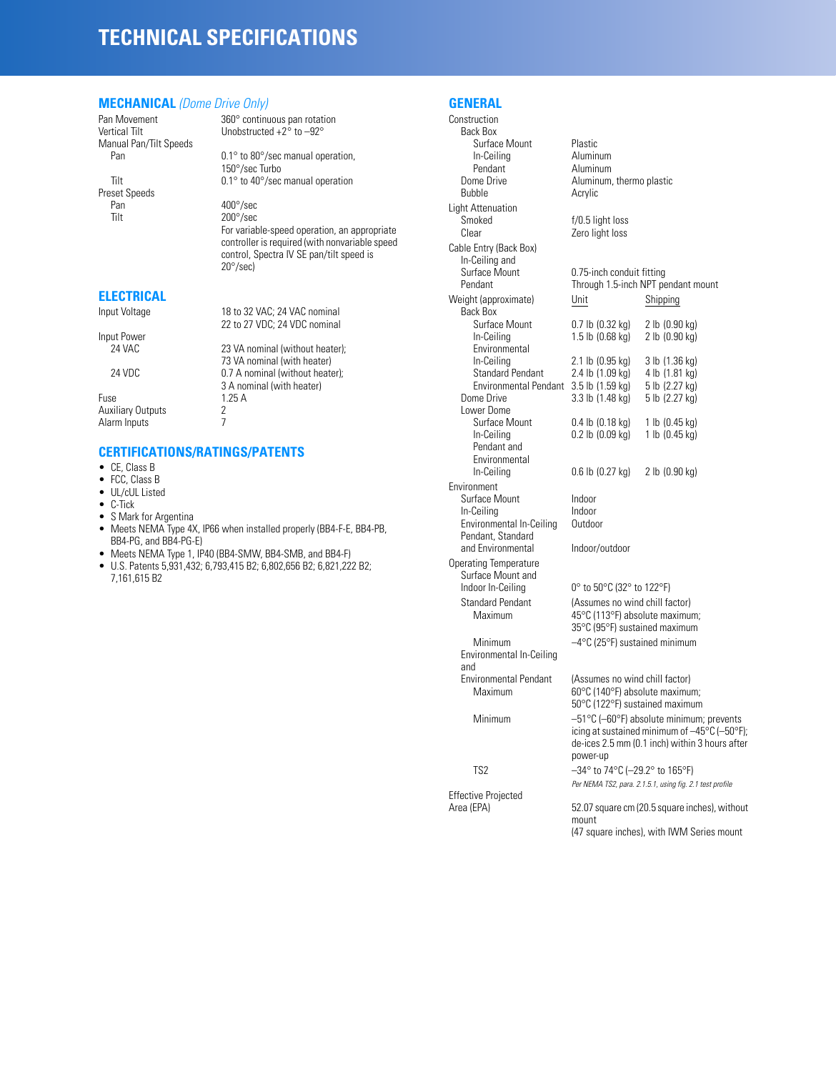# **TECHNICAL SPECIFICATIONS**

#### **MECHANICAL** *(Dome Drive Only)*

Manual Pan/Tilt Speeds

Preset Speeds<br>Pan Tilt 200°/sec

Pan Movement 360° continuous pan rotation<br>Vertical Tilt  $\mu$  Unobstructed +2° to -92° Unobstructed  $+2^{\circ}$  to  $-92^{\circ}$ 

 $0.1^{\circ}$  to  $80^{\circ}/\text{sec}$  manual operation, 150°/sec Turbo Tilt 0.1° to 40°/sec manual operation

> $400^{\circ}/sec$ For variable-speed operation, an appropriate controller is required (with nonvariable speed control, Spectra IV SE pan/tilt speed is 20°/sec)

#### **ELECTRICAL**

Input Power

Input Voltage 18 to 32 VAC; 24 VAC nominal 22 to 27 VDC; 24 VDC nominal

23 VA nominal (without heater); 73 VA nominal (with heater) 24 VDC 0.7 A nominal (without heater); 3 A nominal (with heater) Fuse 1.25 A<br>Auxiliary Outputs 2 Auxiliary Outputs 2<br>Alarm Innuts 2

# **CERTIFICATIONS/RATINGS/PATENTS**

• CE, Class B

Alarm Inputs 7

- FCC, Class B
- UL/cUL Listed
- C-Tick
- S Mark for Argentina<br>• Meets NFMA Type 4>
- Meets NEMA Type 4X, IP66 when installed properly (BB4-F-E, BB4-PB, BB4-PG, and BB4-PG-E)
- Meets NEMA Type 1, IP40 (BB4-SMW, BB4-SMB, and BB4-F)
- U.S. Patents 5,931,432; 6,793,415 B2; 6,802,656 B2; 6,821,222 B2; 7,161,615 B2

**GENERAL**

Construction Back Box Surface Mount<br>
In-Ceiling **Aluminum** In-Ceiling<br>Pendant Pendant Aluminum<br>Dome Drive Aluminum. Dome Drive Aluminum, thermo plastic<br>
Rubble Acrylic Acrylic Light Attenuation Smoked f/0.5 light loss<br>Clear Zero light loss Zero light loss Cable Entry (Back Box) In-Ceiling and<br>Surface Mount Surface Mount 0.75-inch conduit fitting<br>
Pendant Through 1.5-inch NPT pe Through 1.5-inch NPT pendant mount Weight (approximate) Unit Shipping Back Box<br>Surface Mount Surface Mount 0.7 lb (0.32 kg) 2 lb (0.90 kg)<br>
ln-Ceiling 1.5 lb (0.68 kg) 2 lb (0.90 kg) 1.5 lb  $(0.68 \text{ kg})$ Environmental<br>In-Ceiling 2.1 lb (0.95 kg) 3 lb (1.36 kg)<br>2.4 lb (1.09 kg) 4 lb (1.81 kg) Standard Pendant 2.4 lb (1.09 kg) 4 lb (1.81 kg)<br>Environmental Pendant 3.5 lb (1.59 kg) 5 lb (2.27 kg) Environmental Pendant 3.5 lb (1.59 kg) 5 lb (2.27 kg)<br>Dome Drive 3.3 lb (1.48 kg) 5 lb (2.27 kg)  $3.3$  lb  $(1.48$  kg) Lower Dome Surface Mount 0.4 lb (0.18 kg) 1 lb (0.45 kg)<br>
ln-Ceiling 0.2 lb (0.09 kg) 1 lb (0.45 kg)  $0.2$  lb (0.09 kg) Pendant and Environmental<br>In-Ceiling  $0.6$  lb  $(0.27$  kg)  $2$  lb  $(0.90$  kg) Environment Surface Mount Indoor In-Ceiling Indoor<br>Environmental In-Ceiling Outdoor Environmental In-Ceiling Pendant, Standard and Environmental Indoor/outdoor Operating Temperature Surface Mount and<br>Indoor In-Ceiling 0° to 50°C (32° to 122°F) Standard Pendant (Assumes no wind chill factor)<br>Maximum 45°C (113°F) absolute maximum 45°C (113°F) absolute maximum; 35°C (95°F) sustained maximum Minimum –4°C (25°F) sustained minimum Environmental In-Ceiling and<br>Environmental Pendant vironmental Pendant (Assumes no wind chill factor)<br>Maximum 60°C (140°F) absolute maximu 60°C (140°F) absolute maximum; 50°C (122°F) sustained maximum Minimum –51°C (–60°F) absolute minimum; prevents icing at sustained minimum of –45°C (–50°F); de-ices 2.5 mm (0.1 inch) within 3 hours after power-up TS2 –34° to 74°C (–29.2° to 165°F) *Per NEMA TS2, para. 2.1.5.1, using fig. 2.1 test profile* Effective Projected<br>Area (EPA) 52.07 square cm (20.5 square inches), without mount (47 square inches), with IWM Series mount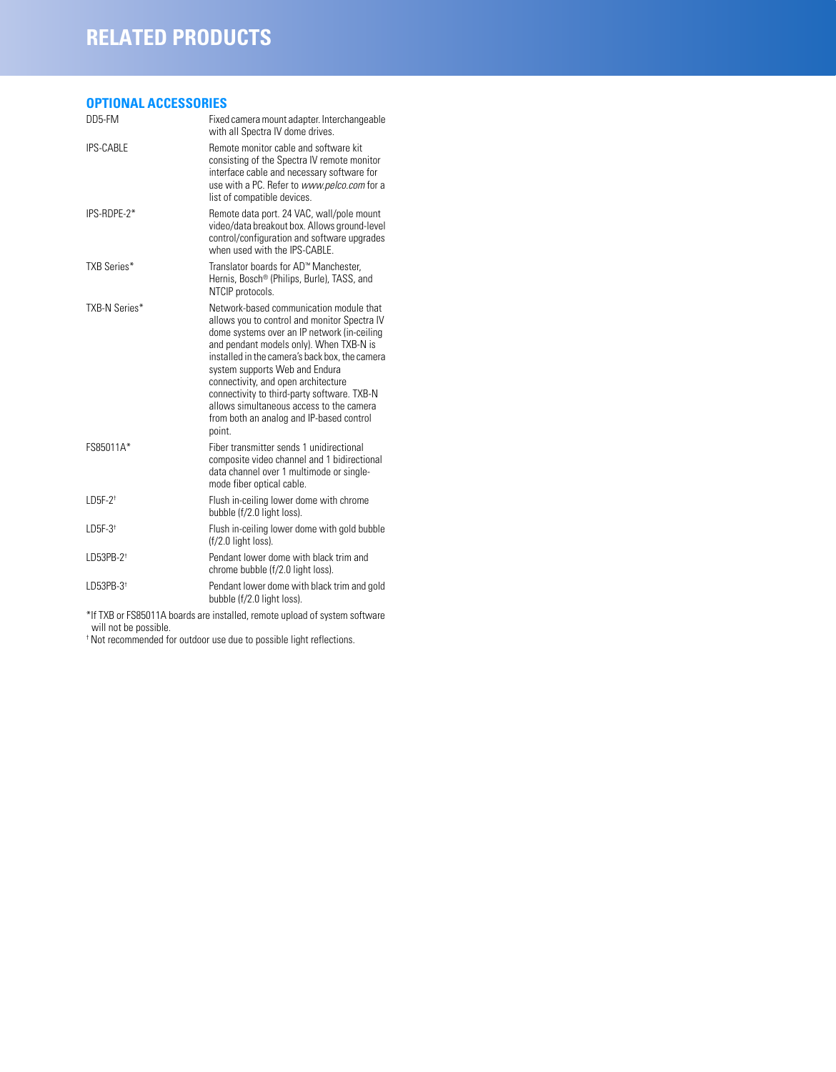# **RELATED PRODUCTS**

# **OPTIONAL ACCESSORIES**

| DD5-FM                | Fixed camera mount adapter. Interchangeable<br>with all Spectra IV dome drives.                                                                                                                                                                                                                                                                                                                                                                               |
|-----------------------|---------------------------------------------------------------------------------------------------------------------------------------------------------------------------------------------------------------------------------------------------------------------------------------------------------------------------------------------------------------------------------------------------------------------------------------------------------------|
| <b>IPS-CABLE</b>      | Remote monitor cable and software kit<br>consisting of the Spectra IV remote monitor<br>interface cable and necessary software for<br>use with a PC. Refer to www.pelco.com for a<br>list of compatible devices.                                                                                                                                                                                                                                              |
| IPS-RDPE-2*           | Remote data port. 24 VAC, wall/pole mount<br>video/data breakout box. Allows ground-level<br>control/configuration and software upgrades<br>when used with the IPS-CABLE.                                                                                                                                                                                                                                                                                     |
| <b>TXB Series*</b>    | Translator boards for AD™ Manchester.<br>Hernis, Bosch® (Philips, Burle), TASS, and<br>NTCIP protocols.                                                                                                                                                                                                                                                                                                                                                       |
| TXB-N Series*         | Network-based communication module that<br>allows you to control and monitor Spectra IV<br>dome systems over an IP network (in-ceiling<br>and pendant models only). When TXB-N is<br>installed in the camera's back box, the camera<br>system supports Web and Endura<br>connectivity, and open architecture<br>connectivity to third-party software. TXB-N<br>allows simultaneous access to the camera<br>from both an analog and IP-based control<br>point. |
| FS85011A*             | Fiber transmitter sends 1 unidirectional<br>composite video channel and 1 bidirectional<br>data channel over 1 multimode or single-<br>mode fiber optical cable.                                                                                                                                                                                                                                                                                              |
| $LD5F-2$ <sup>t</sup> | Flush in-ceiling lower dome with chrome<br>bubble (f/2.0 light loss).                                                                                                                                                                                                                                                                                                                                                                                         |
| $LD5F-3$ <sup>+</sup> | Flush in-ceiling lower dome with gold bubble<br>$(f/2.0$ light loss).                                                                                                                                                                                                                                                                                                                                                                                         |
| LD53PB-2 <sup>+</sup> | Pendant lower dome with black trim and<br>chrome bubble (f/2.0 light loss).                                                                                                                                                                                                                                                                                                                                                                                   |
| LD53PB-3 <sup>+</sup> | Pendant lower dome with black trim and gold<br>bubble (f/2.0 light loss).                                                                                                                                                                                                                                                                                                                                                                                     |

\*If TXB or FS85011A boards are installed, remote upload of system software will not be possible.

† Not recommended for outdoor use due to possible light reflections.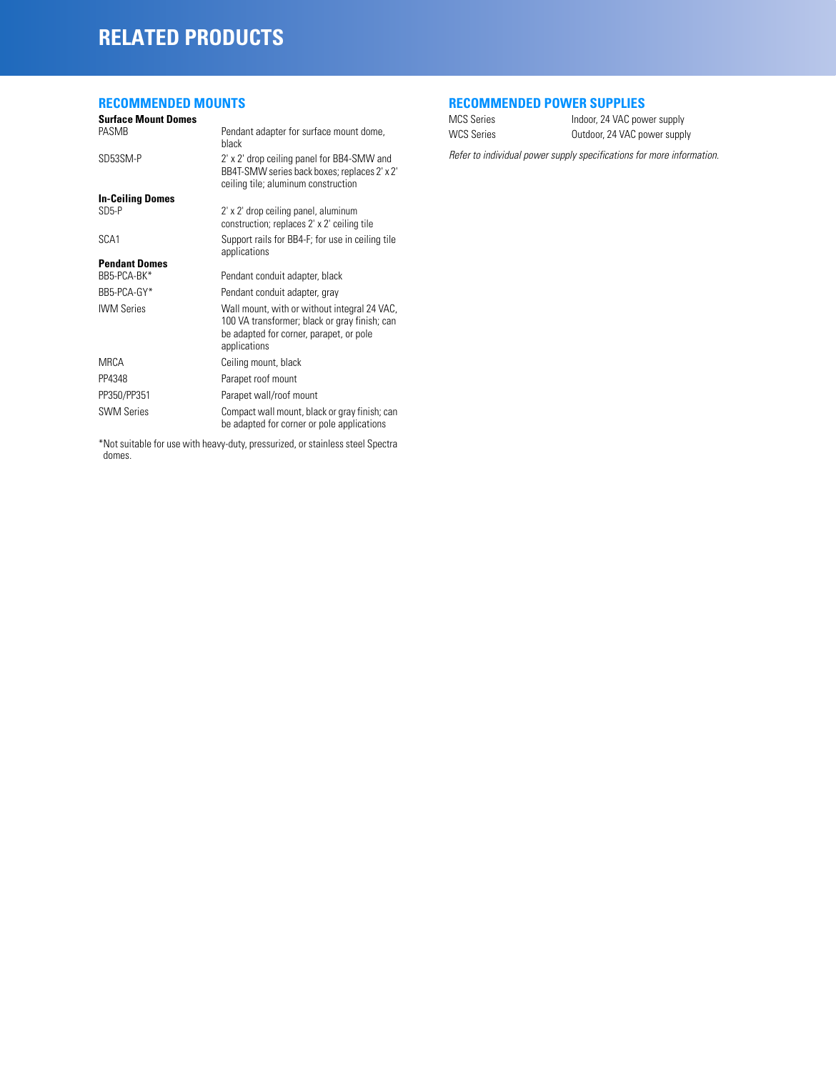# **RELATED PRODUCTS**

# **RECOMMENDED MOUNTS**

#### **Surface Mount Domes** Pendant adapter for surface mount dome, black SD53SM-P 2' x 2' drop ceiling panel for BB4-SMW and BB4T-SMW series back boxes; replaces 2' x 2' ceiling tile; aluminum construction **In-Ceiling Domes** 2' x 2' drop ceiling panel, aluminum construction; replaces 2' x 2' ceiling tile SCA1 Support rails for BB4-F; for use in ceiling tile applications **Pendant Domes** Pendant conduit adapter, black BB5-PCA-GY\* Pendant conduit adapter, gray IWM Series Wall mount, with or without integral 24 VAC, 100 VA transformer; black or gray finish; can be adapted for corner, parapet, or pole applications MRCA Ceiling mount, black PP4348 Parapet roof mount PP350/PP351 Parapet wall/roof mount SWM Series **Compact wall mount, black or gray finish; can**

\*Not suitable for use with heavy-duty, pressurized, or stainless steel Spectra domes.

be adapted for corner or pole applications

# **RECOMMENDED POWER SUPPLIES**

| <b>MCS Series</b> |  |
|-------------------|--|
| WCS Series        |  |

Indoor, 24 VAC power supply Outdoor, 24 VAC power supply

*Refer to individual power supply specifications for more information.*